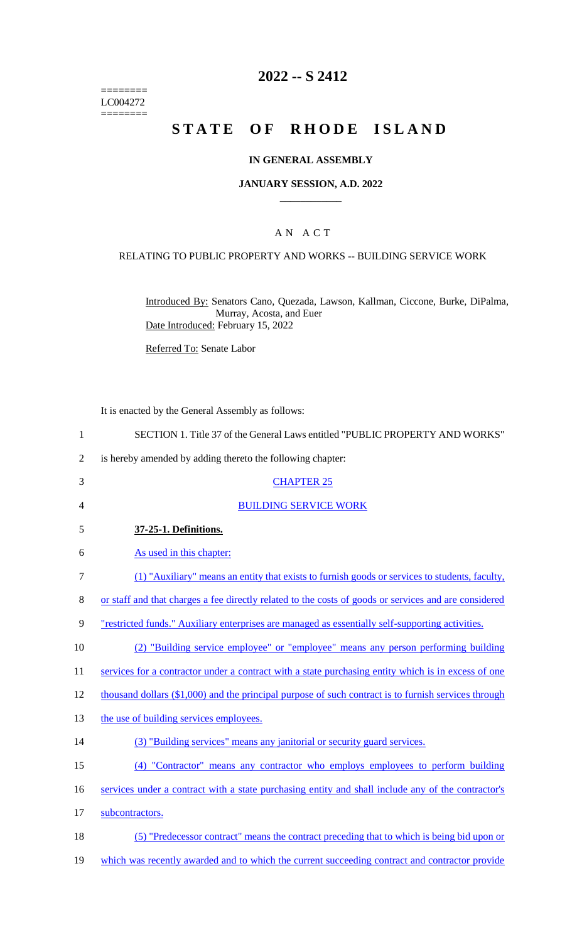======== LC004272  $=$ 

# **2022 -- S 2412**

# **STATE OF RHODE ISLAND**

## **IN GENERAL ASSEMBLY**

#### **JANUARY SESSION, A.D. 2022 \_\_\_\_\_\_\_\_\_\_\_\_**

## A N A C T

## RELATING TO PUBLIC PROPERTY AND WORKS -- BUILDING SERVICE WORK

Introduced By: Senators Cano, Quezada, Lawson, Kallman, Ciccone, Burke, DiPalma, Murray, Acosta, and Euer Date Introduced: February 15, 2022

Referred To: Senate Labor

It is enacted by the General Assembly as follows:

| $\mathbf{1}$ | SECTION 1. Title 37 of the General Laws entitled "PUBLIC PROPERTY AND WORKS"                            |
|--------------|---------------------------------------------------------------------------------------------------------|
| 2            | is hereby amended by adding thereto the following chapter:                                              |
| 3            | <b>CHAPTER 25</b>                                                                                       |
| 4            | <b>BUILDING SERVICE WORK</b>                                                                            |
| 5            | 37-25-1. Definitions.                                                                                   |
| 6            | As used in this chapter:                                                                                |
| 7            | (1) "Auxiliary" means an entity that exists to furnish goods or services to students, faculty,          |
| 8            | or staff and that charges a fee directly related to the costs of goods or services and are considered   |
| 9            | <u>"restricted funds." Auxiliary enterprises are managed as essentially self-supporting activities.</u> |
| 10           | (2) "Building service employee" or "employee" means any person performing building                      |
| 11           | services for a contractor under a contract with a state purchasing entity which is in excess of one     |
| 12           | thousand dollars (\$1,000) and the principal purpose of such contract is to furnish services through    |
| 13           | the use of building services employees.                                                                 |
| 14           | (3) "Building services" means any janitorial or security guard services.                                |
| 15           | (4) "Contractor" means any contractor who employs employees to perform building                         |
| 16           | services under a contract with a state purchasing entity and shall include any of the contractor's      |
| 17           | subcontractors.                                                                                         |
| 18           | (5) "Predecessor contract" means the contract preceding that to which is being bid upon or              |
| 19           | which was recently awarded and to which the current succeeding contract and contractor provide          |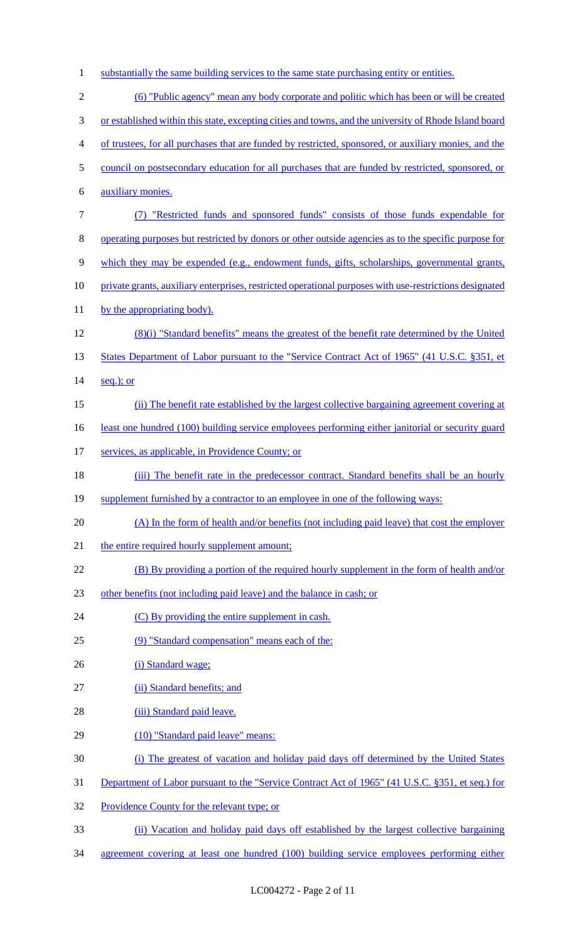1 substantially the same building services to the same state purchasing entity or entities.

| $\overline{2}$ | (6) "Public agency" mean any body corporate and politic which has been or will be created               |
|----------------|---------------------------------------------------------------------------------------------------------|
| 3              | or established within this state, excepting cities and towns, and the university of Rhode Island board  |
| $\overline{4}$ | of trustees, for all purchases that are funded by restricted, sponsored, or auxiliary monies, and the   |
| 5              | council on postsecondary education for all purchases that are funded by restricted, sponsored, or       |
| 6              | auxiliary monies.                                                                                       |
| $\tau$         | (7) "Restricted funds and sponsored funds" consists of those funds expendable for                       |
| 8              | operating purposes but restricted by donors or other outside agencies as to the specific purpose for    |
| 9              | which they may be expended (e.g., endowment funds, gifts, scholarships, governmental grants,            |
| 10             | private grants, auxiliary enterprises, restricted operational purposes with use-restrictions designated |
| 11             | by the appropriating body).                                                                             |
| 12             | (8)(i) "Standard benefits" means the greatest of the benefit rate determined by the United              |
| 13             | States Department of Labor pursuant to the "Service Contract Act of 1965" (41 U.S.C. §351, et           |
| 14             | $seq.$ ; or                                                                                             |
| 15             | (ii) The benefit rate established by the largest collective bargaining agreement covering at            |
| 16             | least one hundred (100) building service employees performing either janitorial or security guard       |
| 17             | services, as applicable, in Providence County; or                                                       |
| 18             | (iii) The benefit rate in the predecessor contract. Standard benefits shall be an hourly                |
| 19             | supplement furnished by a contractor to an employee in one of the following ways:                       |
| 20             | (A) In the form of health and/or benefits (not including paid leave) that cost the employer             |
| 21             | the entire required hourly supplement amount;                                                           |
| 22             | (B) By providing a portion of the required hourly supplement in the form of health and/or               |
| 23             | other benefits (not including paid leave) and the balance in cash; or                                   |
| 24             | (C) By providing the entire supplement in cash.                                                         |
| 25             | (9) "Standard compensation" means each of the:                                                          |
| 26             | (i) Standard wage;                                                                                      |
| 27             | (ii) Standard benefits; and                                                                             |
| 28             | (iii) Standard paid leave.                                                                              |
| 29             | (10) "Standard paid leave" means:                                                                       |
| 30             | (i) The greatest of vacation and holiday paid days off determined by the United States                  |
| 31             | Department of Labor pursuant to the "Service Contract Act of 1965" (41 U.S.C. §351, et seq.) for        |
| 32             | Providence County for the relevant type; or                                                             |
| 33             | (ii) Vacation and holiday paid days off established by the largest collective bargaining                |

34 agreement covering at least one hundred (100) building service employees performing either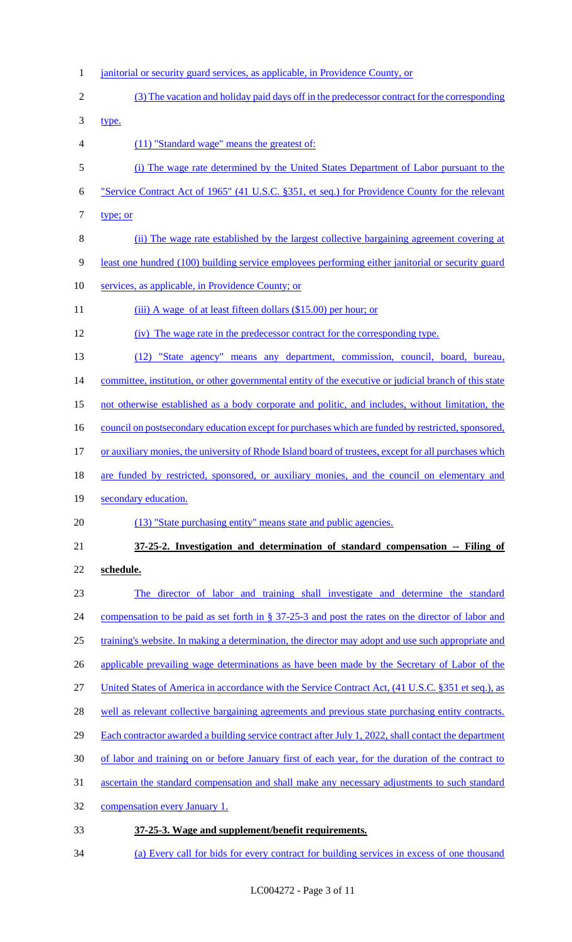- 1 janitorial or security guard services, as applicable, in Providence County, or 2 (3) The vacation and holiday paid days off in the predecessor contract for the corresponding 3 type. 4 (11) "Standard wage" means the greatest of: 5 (i) The wage rate determined by the United States Department of Labor pursuant to the 6 "Service Contract Act of 1965" (41 U.S.C. §351, et seq.) for Providence County for the relevant 7 type; or 8 (ii) The wage rate established by the largest collective bargaining agreement covering at 9 least one hundred (100) building service employees performing either janitorial or security guard 10 services, as applicable, in Providence County; or 11 (iii) A wage of at least fifteen dollars (\$15.00) per hour; or 12 (iv) The wage rate in the predecessor contract for the corresponding type. 13 (12) "State agency" means any department, commission, council, board, bureau, 14 committee, institution, or other governmental entity of the executive or judicial branch of this state 15 not otherwise established as a body corporate and politic, and includes, without limitation, the 16 council on postsecondary education except for purchases which are funded by restricted, sponsored, 17 or auxiliary monies, the university of Rhode Island board of trustees, except for all purchases which 18 are funded by restricted, sponsored, or auxiliary monies, and the council on elementary and 19 secondary education. 20 (13) "State purchasing entity" means state and public agencies. 21 **37-25-2. Investigation and determination of standard compensation -- Filing of**  22 **schedule.**  23 The director of labor and training shall investigate and determine the standard 24 compensation to be paid as set forth in § 37-25-3 and post the rates on the director of labor and 25 training's website. In making a determination, the director may adopt and use such appropriate and 26 applicable prevailing wage determinations as have been made by the Secretary of Labor of the 27 United States of America in accordance with the Service Contract Act, (41 U.S.C. §351 et seq.), as 28 well as relevant collective bargaining agreements and previous state purchasing entity contracts. 29 Each contractor awarded a building service contract after July 1, 2022, shall contact the department 30 of labor and training on or before January first of each year, for the duration of the contract to 31 ascertain the standard compensation and shall make any necessary adjustments to such standard 32 compensation every January 1. 33 **37-25-3. Wage and supplement/benefit requirements.**
- 34 (a) Every call for bids for every contract for building services in excess of one thousand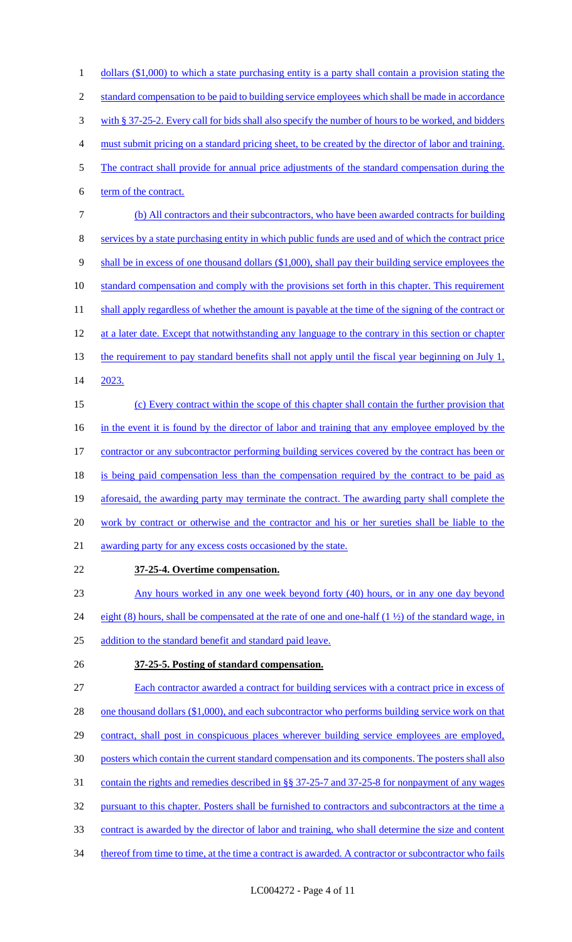1 dollars (\$1,000) to which a state purchasing entity is a party shall contain a provision stating the 2 standard compensation to be paid to building service employees which shall be made in accordance 3 with § 37-25-2. Every call for bids shall also specify the number of hours to be worked, and bidders 4 must submit pricing on a standard pricing sheet, to be created by the director of labor and training. 5 The contract shall provide for annual price adjustments of the standard compensation during the 6 term of the contract. 7 (b) All contractors and their subcontractors, who have been awarded contracts for building 8 services by a state purchasing entity in which public funds are used and of which the contract price 9 shall be in excess of one thousand dollars (\$1,000), shall pay their building service employees the 10 standard compensation and comply with the provisions set forth in this chapter. This requirement 11 shall apply regardless of whether the amount is payable at the time of the signing of the contract or 12 at a later date. Except that notwithstanding any language to the contrary in this section or chapter 13 the requirement to pay standard benefits shall not apply until the fiscal year beginning on July 1, 14 2023. 15 (c) Every contract within the scope of this chapter shall contain the further provision that 16 in the event it is found by the director of labor and training that any employee employed by the 17 contractor or any subcontractor performing building services covered by the contract has been or 18 is being paid compensation less than the compensation required by the contract to be paid as 19 aforesaid, the awarding party may terminate the contract. The awarding party shall complete the 20 work by contract or otherwise and the contractor and his or her sureties shall be liable to the 21 awarding party for any excess costs occasioned by the state. 22 **37-25-4. Overtime compensation.**  23 Any hours worked in any one week beyond forty (40) hours, or in any one day beyond 24 eight (8) hours, shall be compensated at the rate of one and one-half  $(1 \frac{1}{2})$  of the standard wage, in 25 addition to the standard benefit and standard paid leave. 26 **37-25-5. Posting of standard compensation.**  27 Each contractor awarded a contract for building services with a contract price in excess of 28 one thousand dollars (\$1,000), and each subcontractor who performs building service work on that 29 contract, shall post in conspicuous places wherever building service employees are employed, 30 posters which contain the current standard compensation and its components. The posters shall also

- 31 contain the rights and remedies described in §§ 37-25-7 and 37-25-8 for nonpayment of any wages
- 32 pursuant to this chapter. Posters shall be furnished to contractors and subcontractors at the time a
- 33 contract is awarded by the director of labor and training, who shall determine the size and content
- 34 thereof from time to time, at the time a contract is awarded. A contractor or subcontractor who fails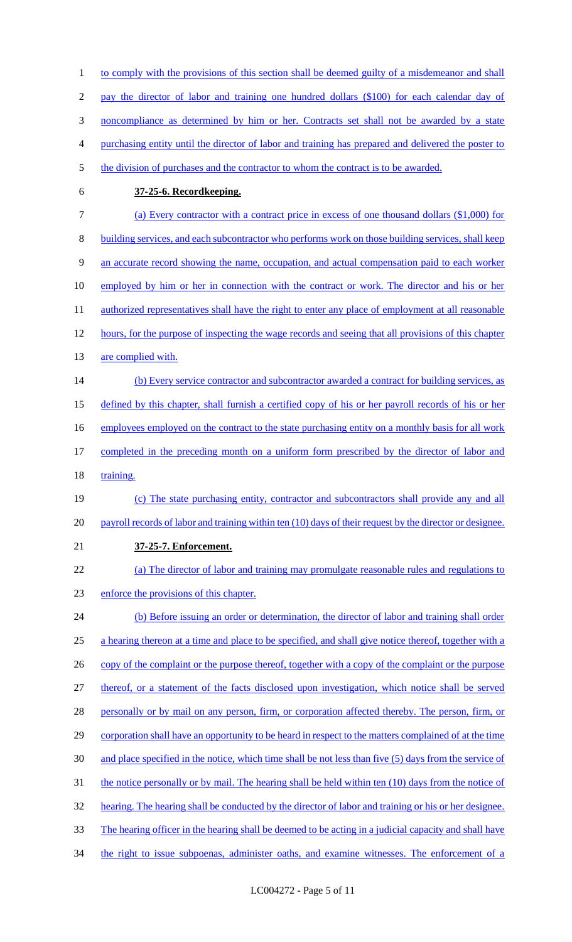1 to comply with the provisions of this section shall be deemed guilty of a misdemeanor and shall 2 pay the director of labor and training one hundred dollars (\$100) for each calendar day of 3 noncompliance as determined by him or her. Contracts set shall not be awarded by a state 4 purchasing entity until the director of labor and training has prepared and delivered the poster to 5 the division of purchases and the contractor to whom the contract is to be awarded. 6 **37-25-6. Recordkeeping.**  7 (a) Every contractor with a contract price in excess of one thousand dollars (\$1,000) for 8 building services, and each subcontractor who performs work on those building services, shall keep 9 an accurate record showing the name, occupation, and actual compensation paid to each worker 10 employed by him or her in connection with the contract or work. The director and his or her 11 authorized representatives shall have the right to enter any place of employment at all reasonable 12 hours, for the purpose of inspecting the wage records and seeing that all provisions of this chapter 13 are complied with. 14 (b) Every service contractor and subcontractor awarded a contract for building services, as 15 defined by this chapter, shall furnish a certified copy of his or her payroll records of his or her 16 employees employed on the contract to the state purchasing entity on a monthly basis for all work 17 completed in the preceding month on a uniform form prescribed by the director of labor and 18 training. 19 (c) The state purchasing entity, contractor and subcontractors shall provide any and all 20 payroll records of labor and training within ten (10) days of their request by the director or designee. 21 **37-25-7. Enforcement.**  22 (a) The director of labor and training may promulgate reasonable rules and regulations to 23 enforce the provisions of this chapter. 24 (b) Before issuing an order or determination, the director of labor and training shall order 25 a hearing thereon at a time and place to be specified, and shall give notice thereof, together with a 26 copy of the complaint or the purpose thereof, together with a copy of the complaint or the purpose 27 thereof, or a statement of the facts disclosed upon investigation, which notice shall be served 28 personally or by mail on any person, firm, or corporation affected thereby. The person, firm, or 29 corporation shall have an opportunity to be heard in respect to the matters complained of at the time 30 and place specified in the notice, which time shall be not less than five (5) days from the service of 31 the notice personally or by mail. The hearing shall be held within ten (10) days from the notice of 32 hearing. The hearing shall be conducted by the director of labor and training or his or her designee. 33 The hearing officer in the hearing shall be deemed to be acting in a judicial capacity and shall have 34 the right to issue subpoenas, administer oaths, and examine witnesses. The enforcement of a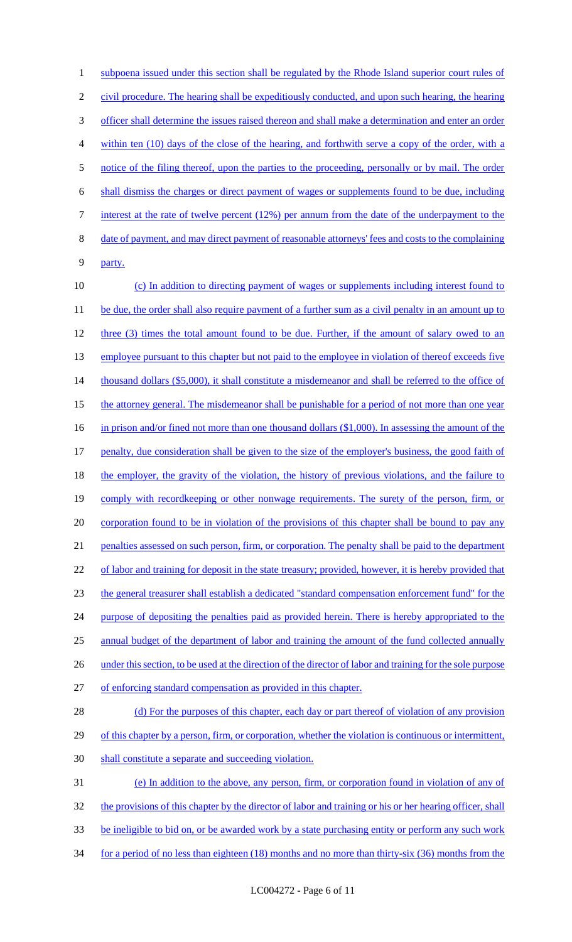1 subpoena issued under this section shall be regulated by the Rhode Island superior court rules of 2 civil procedure. The hearing shall be expeditiously conducted, and upon such hearing, the hearing 3 officer shall determine the issues raised thereon and shall make a determination and enter an order 4 within ten (10) days of the close of the hearing, and forthwith serve a copy of the order, with a 5 notice of the filing thereof, upon the parties to the proceeding, personally or by mail. The order 6 shall dismiss the charges or direct payment of wages or supplements found to be due, including 7 interest at the rate of twelve percent (12%) per annum from the date of the underpayment to the 8 date of payment, and may direct payment of reasonable attorneys' fees and costs to the complaining 9 party. 10 (c) In addition to directing payment of wages or supplements including interest found to 11 be due, the order shall also require payment of a further sum as a civil penalty in an amount up to 12 three (3) times the total amount found to be due. Further, if the amount of salary owed to an

13 employee pursuant to this chapter but not paid to the employee in violation of thereof exceeds five 14 thousand dollars (\$5,000), it shall constitute a misdemeanor and shall be referred to the office of 15 the attorney general. The misdemeanor shall be punishable for a period of not more than one year 16 in prison and/or fined not more than one thousand dollars (\$1,000). In assessing the amount of the 17 penalty, due consideration shall be given to the size of the employer's business, the good faith of 18 the employer, the gravity of the violation, the history of previous violations, and the failure to 19 comply with recordkeeping or other nonwage requirements. The surety of the person, firm, or 20 corporation found to be in violation of the provisions of this chapter shall be bound to pay any 21 penalties assessed on such person, firm, or corporation. The penalty shall be paid to the department

22 of labor and training for deposit in the state treasury; provided, however, it is hereby provided that 23 the general treasurer shall establish a dedicated "standard compensation enforcement fund" for the 24 purpose of depositing the penalties paid as provided herein. There is hereby appropriated to the 25 annual budget of the department of labor and training the amount of the fund collected annually 26 under this section, to be used at the direction of the director of labor and training for the sole purpose

27 of enforcing standard compensation as provided in this chapter.

28 (d) For the purposes of this chapter, each day or part thereof of violation of any provision 29 of this chapter by a person, firm, or corporation, whether the violation is continuous or intermittent, 30 shall constitute a separate and succeeding violation.

 (e) In addition to the above, any person, firm, or corporation found in violation of any of 32 the provisions of this chapter by the director of labor and training or his or her hearing officer, shall be ineligible to bid on, or be awarded work by a state purchasing entity or perform any such work for a period of no less than eighteen (18) months and no more than thirty-six (36) months from the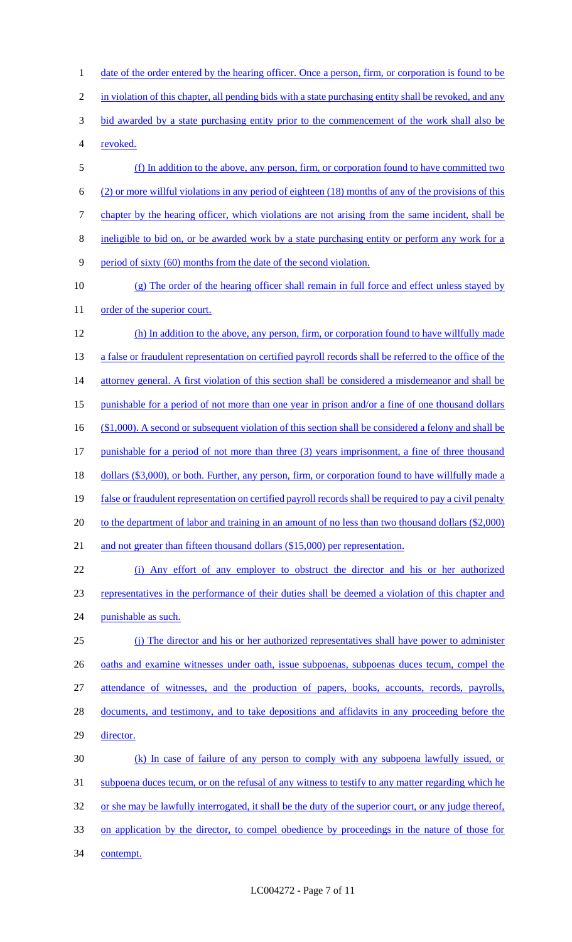1 date of the order entered by the hearing officer. Once a person, firm, or corporation is found to be 2 in violation of this chapter, all pending bids with a state purchasing entity shall be revoked, and any 3 bid awarded by a state purchasing entity prior to the commencement of the work shall also be 4 revoked. 5 (f) In addition to the above, any person, firm, or corporation found to have committed two 6 (2) or more willful violations in any period of eighteen (18) months of any of the provisions of this 7 chapter by the hearing officer, which violations are not arising from the same incident, shall be 8 ineligible to bid on, or be awarded work by a state purchasing entity or perform any work for a 9 period of sixty (60) months from the date of the second violation. 10 (g) The order of the hearing officer shall remain in full force and effect unless stayed by 11 order of the superior court. 12 (h) In addition to the above, any person, firm, or corporation found to have willfully made 13 a false or fraudulent representation on certified payroll records shall be referred to the office of the 14 attorney general. A first violation of this section shall be considered a misdemeanor and shall be 15 punishable for a period of not more than one year in prison and/or a fine of one thousand dollars 16 (\$1,000). A second or subsequent violation of this section shall be considered a felony and shall be 17 punishable for a period of not more than three (3) years imprisonment, a fine of three thousand 18 dollars (\$3,000), or both. Further, any person, firm, or corporation found to have willfully made a 19 false or fraudulent representation on certified payroll records shall be required to pay a civil penalty 20 to the department of labor and training in an amount of no less than two thousand dollars (\$2,000) 21 and not greater than fifteen thousand dollars (\$15,000) per representation.

22 (i) Any effort of any employer to obstruct the director and his or her authorized 23 representatives in the performance of their duties shall be deemed a violation of this chapter and 24 punishable as such.

25 (j) The director and his or her authorized representatives shall have power to administer 26 oaths and examine witnesses under oath, issue subpoenas, subpoenas duces tecum, compel the 27 attendance of witnesses, and the production of papers, books, accounts, records, payrolls, 28 documents, and testimony, and to take depositions and affidavits in any proceeding before the 29 director. 30 (k) In case of failure of any person to comply with any subpoena lawfully issued, or 31 subpoena duces tecum, or on the refusal of any witness to testify to any matter regarding which he

32 or she may be lawfully interrogated, it shall be the duty of the superior court, or any judge thereof,

33 on application by the director, to compel obedience by proceedings in the nature of those for

34 contempt.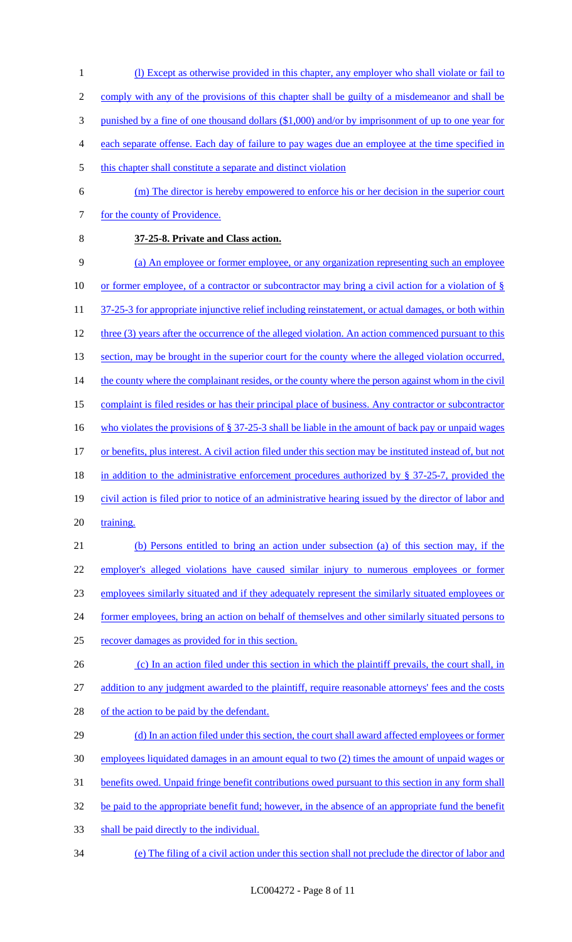- 1 (l) Except as otherwise provided in this chapter, any employer who shall violate or fail to
- 2 comply with any of the provisions of this chapter shall be guilty of a misdemeanor and shall be
- 3 punished by a fine of one thousand dollars (\$1,000) and/or by imprisonment of up to one year for
- 4 each separate offense. Each day of failure to pay wages due an employee at the time specified in
- 5 this chapter shall constitute a separate and distinct violation
- 6 (m) The director is hereby empowered to enforce his or her decision in the superior court 7 for the county of Providence.
- 

## 8 **37-25-8. Private and Class action.**

9 (a) An employee or former employee, or any organization representing such an employee 10 or former employee, of a contractor or subcontractor may bring a civil action for a violation of § 11 37-25-3 for appropriate injunctive relief including reinstatement, or actual damages, or both within 12 three (3) years after the occurrence of the alleged violation. An action commenced pursuant to this 13 section, may be brought in the superior court for the county where the alleged violation occurred, 14 the county where the complainant resides, or the county where the person against whom in the civil 15 complaint is filed resides or has their principal place of business. Any contractor or subcontractor 16 who violates the provisions of § 37-25-3 shall be liable in the amount of back pay or unpaid wages 17 or benefits, plus interest. A civil action filed under this section may be instituted instead of, but not 18 in addition to the administrative enforcement procedures authorized by § 37-25-7, provided the 19 civil action is filed prior to notice of an administrative hearing issued by the director of labor and 20 training. 21 (b) Persons entitled to bring an action under subsection (a) of this section may, if the

 employer's alleged violations have caused similar injury to numerous employees or former employees similarly situated and if they adequately represent the similarly situated employees or 24 former employees, bring an action on behalf of themselves and other similarly situated persons to recover damages as provided for in this section.

- 26 (c) In an action filed under this section in which the plaintiff prevails, the court shall, in 27 addition to any judgment awarded to the plaintiff, require reasonable attorneys' fees and the costs 28 of the action to be paid by the defendant.
- 29 (d) In an action filed under this section, the court shall award affected employees or former 30 employees liquidated damages in an amount equal to two (2) times the amount of unpaid wages or 31 benefits owed. Unpaid fringe benefit contributions owed pursuant to this section in any form shall 32 be paid to the appropriate benefit fund; however, in the absence of an appropriate fund the benefit 33 shall be paid directly to the individual.
- 34 (e) The filing of a civil action under this section shall not preclude the director of labor and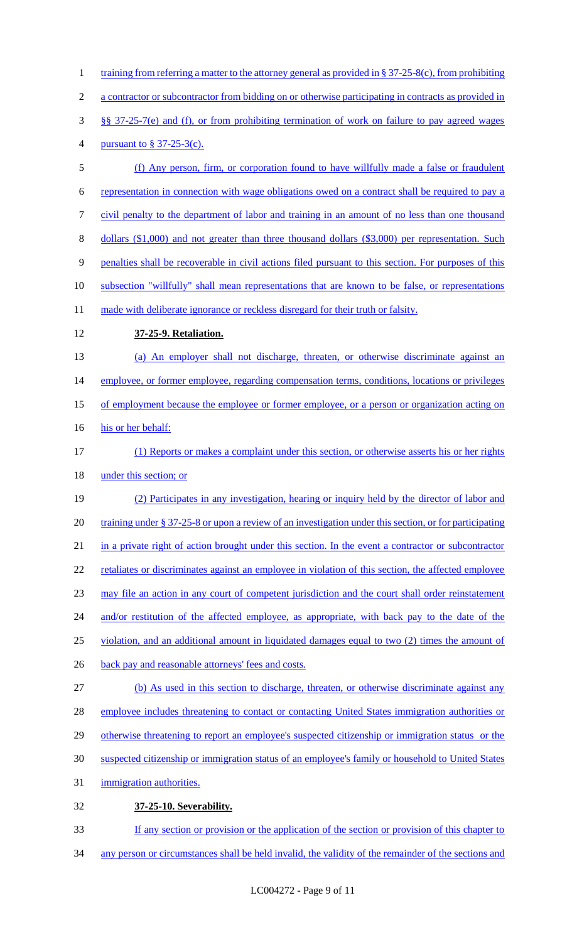1 training from referring a matter to the attorney general as provided in § 37-25-8(c), from prohibiting a contractor or subcontractor from bidding on or otherwise participating in contracts as provided in §§ 37-25-7(e) and (f), or from prohibiting termination of work on failure to pay agreed wages pursuant to § 37-25-3(c). (f) Any person, firm, or corporation found to have willfully made a false or fraudulent representation in connection with wage obligations owed on a contract shall be required to pay a civil penalty to the department of labor and training in an amount of no less than one thousand dollars (\$1,000) and not greater than three thousand dollars (\$3,000) per representation. Such penalties shall be recoverable in civil actions filed pursuant to this section. For purposes of this 10 subsection "willfully" shall mean representations that are known to be false, or representations 11 made with deliberate ignorance or reckless disregard for their truth or falsity. **37-25-9. Retaliation.**  (a) An employer shall not discharge, threaten, or otherwise discriminate against an 14 employee, or former employee, regarding compensation terms, conditions, locations or privileges 15 of employment because the employee or former employee, or a person or organization acting on 16 his or her behalf: (1) Reports or makes a complaint under this section, or otherwise asserts his or her rights 18 under this section; or (2) Participates in any investigation, hearing or inquiry held by the director of labor and 20 training under § 37-25-8 or upon a review of an investigation under this section, or for participating in a private right of action brought under this section. In the event a contractor or subcontractor 22 retaliates or discriminates against an employee in violation of this section, the affected employee may file an action in any court of competent jurisdiction and the court shall order reinstatement 24 and/or restitution of the affected employee, as appropriate, with back pay to the date of the violation, and an additional amount in liquidated damages equal to two (2) times the amount of back pay and reasonable attorneys' fees and costs. (b) As used in this section to discharge, threaten, or otherwise discriminate against any 28 employee includes threatening to contact or contacting United States immigration authorities or 29 otherwise threatening to report an employee's suspected citizenship or immigration status or the suspected citizenship or immigration status of an employee's family or household to United States immigration authorities. **37-25-10. Severability.**  If any section or provision or the application of the section or provision of this chapter to any person or circumstances shall be held invalid, the validity of the remainder of the sections and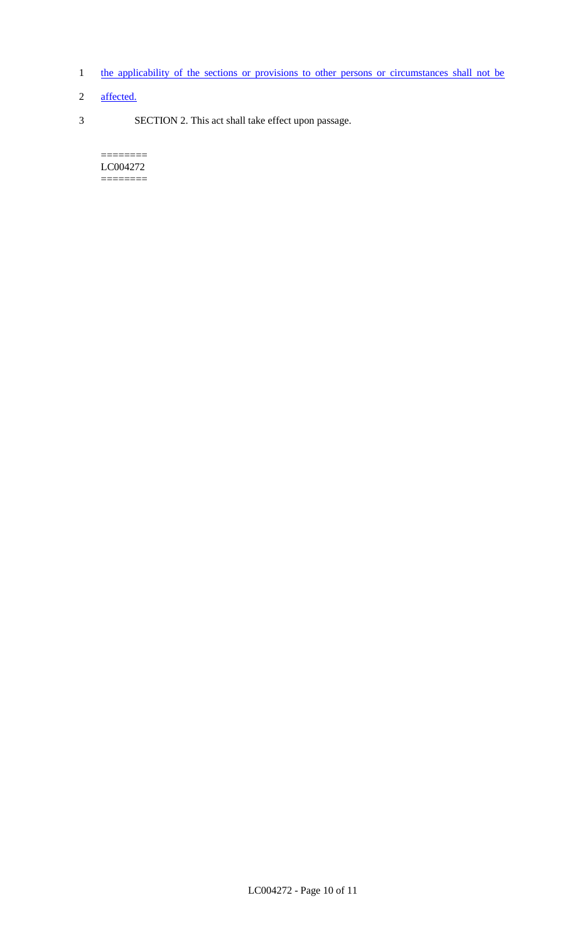- 1 the applicability of the sections or provisions to other persons or circumstances shall not be
- 2 affected.
- 3 SECTION 2. This act shall take effect upon passage.

 $=$ LC004272 ========